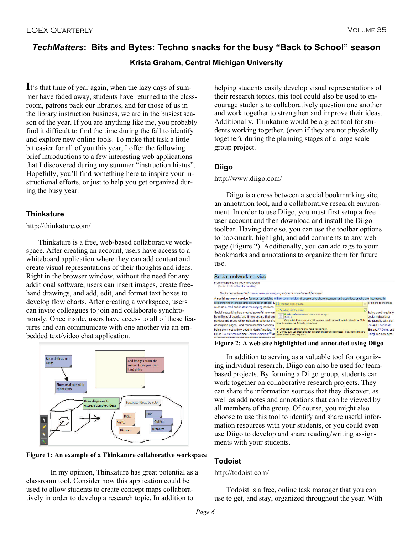# *TechMatters***: Bits and Bytes: Techno snacks for the busy "Back to School" season**

# **Krista Graham, Central Michigan University**

**I**t's that time of year again, when the lazy days of summer have faded away, students have returned to the classroom, patrons pack our libraries, and for those of us in the library instruction business, we are in the busiest season of the year. If you are anything like me, you probably find it difficult to find the time during the fall to identify and explore new online tools. To make that task a little bit easier for all of you this year, I offer the following brief introductions to a few interesting web applications that I discovered during my summer "instruction hiatus". Hopefully, you'll find something here to inspire your instructional efforts, or just to help you get organized during the busy year.

# **Thinkature**

## http://thinkature.com/

 Thinkature is a free, web-based collaborative workspace. After creating an account, users have access to a whiteboard application where they can add content and create visual representations of their thoughts and ideas. Right in the browser window, without the need for any additional software, users can insert images, create freehand drawings, and add, edit, and format text boxes to develop flow charts. After creating a workspace, users can invite colleagues to join and collaborate synchronously. Once inside, users have access to all of these features and can communicate with one another via an embedded text/video chat application.





In my opinion, Thinkature has great potential as a classroom tool. Consider how this application could be used to allow students to create concept maps collaboratively in order to develop a research topic. In addition to

helping students easily develop visual representations of their research topics, this tool could also be used to encourage students to collaboratively question one another and work together to strengthen and improve their ideas. Additionally, Thinkature would be a great tool for students working together, (even if they are not physically together), during the planning stages of a large scale group project.

# **Diigo**

## http://www.diigo.com/

Diigo is a cross between a social bookmarking site, an annotation tool, and a collaborative research environment. In order to use Diigo, you must first setup a free user account and then download and install the Diigo toolbar. Having done so, you can use the toolbar options to bookmark, highlight, and add comments to any web page (Figure 2). Additionally, you can add tags to your bookmarks and annotations to organize them for future use.

#### Social network service

| From Wikipedia, the free encyclopedia<br>(Redirected from Social networking)                                                                                                                           |                                                                                                                                                                                                              |   |                                                                                         |
|--------------------------------------------------------------------------------------------------------------------------------------------------------------------------------------------------------|--------------------------------------------------------------------------------------------------------------------------------------------------------------------------------------------------------------|---|-----------------------------------------------------------------------------------------|
| Not to be confused with social network analysis, a type of social scientific model                                                                                                                     |                                                                                                                                                                                                              |   |                                                                                         |
|                                                                                                                                                                                                        | A social network service focuses on building online communities of people who share interests and activities, or who are interested in                                                                       |   |                                                                                         |
| exploring the interests and activities of others. M <sub>i-i</sub> Floating sticky note<br>such as e-mail and instant messaging services.                                                              |                                                                                                                                                                                                              |   | $\sim$ pr users to interact.                                                            |
| Social networking has created powerful new way<br>by millions of people, and it now seems that soc<br>services are those which contain directories of s<br>description pages), and recommender systems | C (floating sticky note)<br>Krista Graham less than a minute ago<br>Public X<br>Write a brief loo entry describing your experiences with social networking. Make<br>sure to address the following questions: | 厬 | being used regularly<br>social networking<br>ds (usually with self-<br>Ice and Eacebook |
| being the most widely used in North America; [1]<br>Hi5 in South America and Central America: <sup>[4]</sup> an<br>a conodexe utilotionad bollog shouten lojou                                         | a) What social networking sites have you joined?<br>b) Do you ever use these sites for research or academic purposes? If so, how have you<br>used them? If not, why not?                                     |   | Europe: <sup>[3]</sup> Orkut and<br>urfing is a new type                                |

#### **Figure 2: A web site highlighted and annotated using Diigo**

 In addition to serving as a valuable tool for organizing individual research, Diigo can also be used for teambased projects. By forming a Diigo group, students can work together on collaborative research projects. They can share the information sources that they discover, as well as add notes and annotations that can be viewed by all members of the group. Of course, you might also choose to use this tool to identify and share useful information resources with your students, or you could even use Diigo to develop and share reading/writing assignments with your students.

# **Todoist**

## http://todoist.com/

 Todoist is a free, online task manager that you can use to get, and stay, organized throughout the year. With